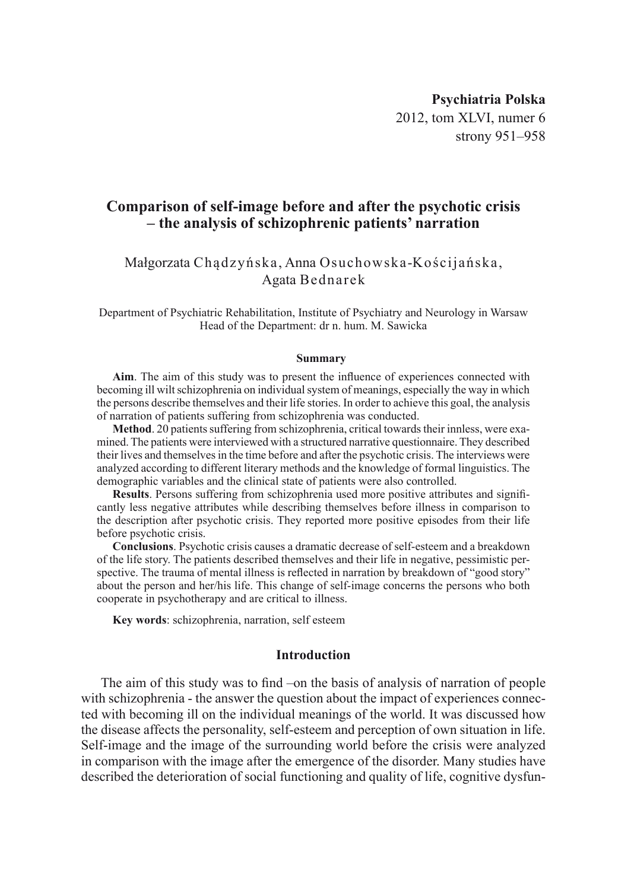# **Psychiatria Polska** 2012, tom XLVI, numer 6 strony 951–958

# **Comparison of self-image before and after the psychotic crisis – the analysis of schizophrenic patients' narration**

## Małgorzata Chądzyńska, Anna Osuchowska-Kościjańska, Agata Bednarek

Department of Psychiatric Rehabilitation, Institute of Psychiatry and Neurology in Warsaw Head of the Department: dr n. hum. M. Sawicka

#### **Summary**

**Aim**. The aim of this study was to present the influence of experiences connected with becoming ill wilt schizophrenia on individual system of meanings, especially the way in which the persons describe themselves and their life stories. In order to achieve this goal, the analysis of narration of patients suffering from schizophrenia was conducted.

Method. 20 patients suffering from schizophrenia, critical towards their innless, were examined. The patients were interviewed with a structured narrative questionnaire. They described their lives and themselves in the time before and after the psychotic crisis. The interviews were analyzed according to different literary methods and the knowledge of formal linguistics. The demographic variables and the clinical state of patients were also controlled.

**Results**. Persons suffering from schizophrenia used more positive attributes and significantly less negative attributes while describing themselves before illness in comparison to the description after psychotic crisis. They reported more positive episodes from their life before psychotic crisis.

**Conclusions**. Psychotic crisis causes a dramatic decrease of self-esteem and a breakdown of the life story. The patients described themselves and their life in negative, pessimistic perspective. The trauma of mental illness is reflected in narration by breakdown of "good story" about the person and her/his life. This change of self-image concerns the persons who both cooperate in psychotherapy and are critical to illness.

**Key words**: schizophrenia, narration, self esteem

## **Introduction**

The aim of this study was to find –on the basis of analysis of narration of people with schizophrenia - the answer the question about the impact of experiences connected with becoming ill on the individual meanings of the world. It was discussed how the disease affects the personality, self-esteem and perception of own situation in life. Self-image and the image of the surrounding world before the crisis were analyzed in comparison with the image after the emergence of the disorder. Many studies have described the deterioration of social functioning and quality of life, cognitive dysfun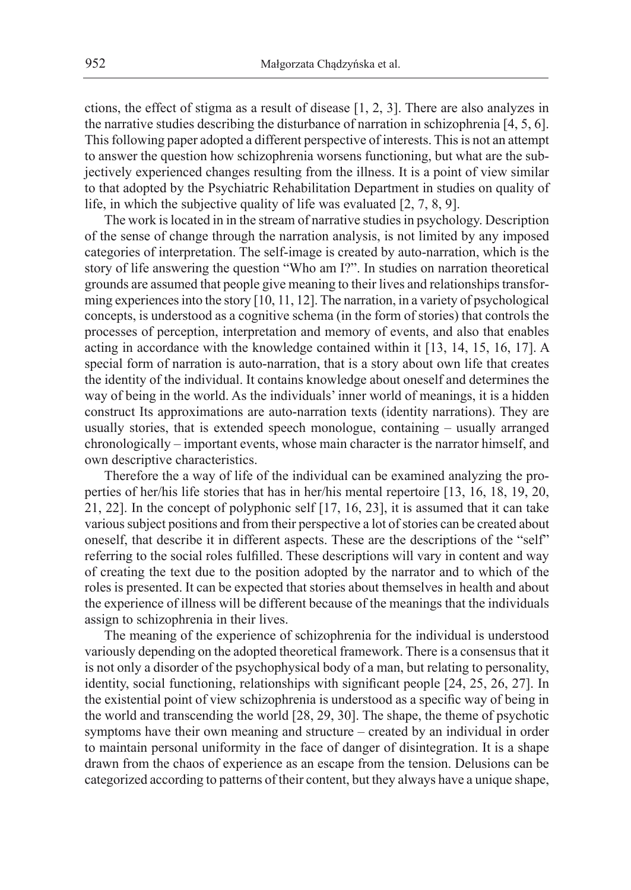ctions, the effect of stigma as a result of disease [1, 2, 3]. There are also analyzes in the narrative studies describing the disturbance of narration in schizophrenia [4, 5, 6]. This following paper adopted a different perspective of interests. This is not an attempt to answer the question how schizophrenia worsens functioning, but what are the subjectively experienced changes resulting from the illness. It is a point of view similar to that adopted by the Psychiatric Rehabilitation Department in studies on quality of life, in which the subjective quality of life was evaluated [2, 7, 8, 9].

The work is located in in the stream of narrative studies in psychology. Description of the sense of change through the narration analysis, is not limited by any imposed categories of interpretation. The self-image is created by auto-narration, which is the story of life answering the question "Who am I?". In studies on narration theoretical grounds are assumed that people give meaning to their lives and relationships transforming experiences into the story [10, 11, 12]. The narration, in a variety of psychological concepts, is understood as a cognitive schema (in the form of stories) that controls the processes of perception, interpretation and memory of events, and also that enables acting in accordance with the knowledge contained within it [13, 14, 15, 16, 17]. A special form of narration is auto-narration, that is a story about own life that creates the identity of the individual. It contains knowledge about oneself and determines the way of being in the world. As the individuals' inner world of meanings, it is a hidden construct Its approximations are auto-narration texts (identity narrations). They are usually stories, that is extended speech monologue, containing – usually arranged chronologically – important events, whose main character is the narrator himself, and own descriptive characteristics.

Therefore the a way of life of the individual can be examined analyzing the properties of her/his life stories that has in her/his mental repertoire [13, 16, 18, 19, 20, 21, 22]. In the concept of polyphonic self [17, 16, 23], it is assumed that it can take various subject positions and from their perspective a lot of stories can be created about oneself, that describe it in different aspects. These are the descriptions of the "self" referring to the social roles fulfilled. These descriptions will vary in content and way of creating the text due to the position adopted by the narrator and to which of the roles is presented. It can be expected that stories about themselves in health and about the experience of illness will be different because of the meanings that the individuals assign to schizophrenia in their lives.

The meaning of the experience of schizophrenia for the individual is understood variously depending on the adopted theoretical framework. There is a consensus that it is not only a disorder of the psychophysical body of a man, but relating to personality, identity, social functioning, relationships with significant people [24, 25, 26, 27]. In the existential point of view schizophrenia is understood as a specific way of being in the world and transcending the world [28, 29, 30]. The shape, the theme of psychotic symptoms have their own meaning and structure – created by an individual in order to maintain personal uniformity in the face of danger of disintegration. It is a shape drawn from the chaos of experience as an escape from the tension. Delusions can be categorized according to patterns of their content, but they always have a unique shape,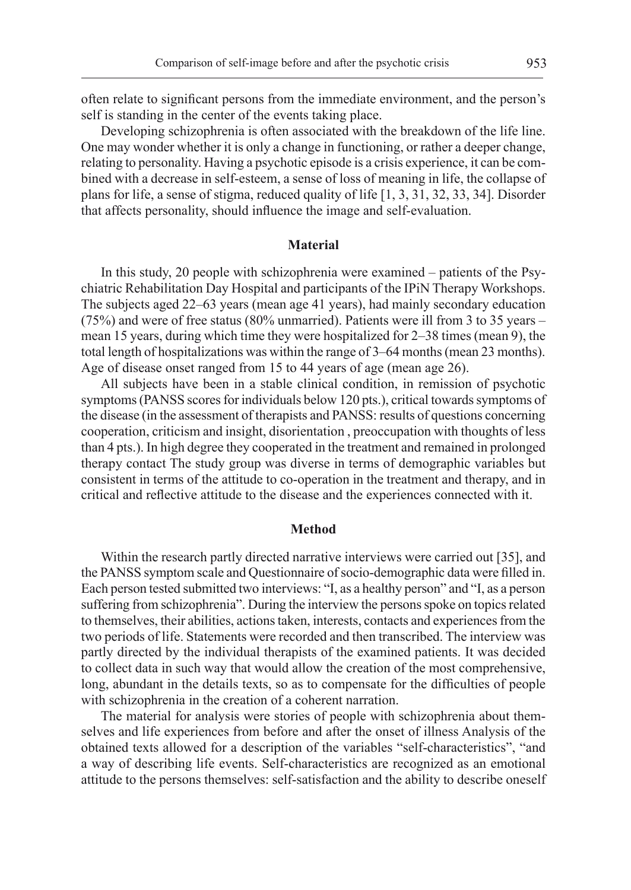often relate to significant persons from the immediate environment, and the person's self is standing in the center of the events taking place.

Developing schizophrenia is often associated with the breakdown of the life line. One may wonder whether it is only a change in functioning, or rather a deeper change, relating to personality. Having a psychotic episode is a crisis experience, it can be combined with a decrease in self-esteem, a sense of loss of meaning in life, the collapse of plans for life, a sense of stigma, reduced quality of life [1, 3, 31, 32, 33, 34]. Disorder that affects personality, should influence the image and self-evaluation.

## **Material**

In this study, 20 people with schizophrenia were examined – patients of the Psychiatric Rehabilitation Day Hospital and participants of the IPiN Therapy Workshops. The subjects aged 22–63 years (mean age 41 years), had mainly secondary education (75%) and were of free status (80% unmarried). Patients were ill from 3 to 35 years – mean 15 years, during which time they were hospitalized for 2–38 times (mean 9), the total length of hospitalizations was within the range of 3–64 months (mean 23 months). Age of disease onset ranged from 15 to 44 years of age (mean age 26).

All subjects have been in a stable clinical condition, in remission of psychotic symptoms (PANSS scores for individuals below 120 pts.), critical towards symptoms of the disease (in the assessment of therapists and PANSS: results of questions concerning cooperation, criticism and insight, disorientation , preoccupation with thoughts of less than 4 pts.). In high degree they cooperated in the treatment and remained in prolonged therapy contact The study group was diverse in terms of demographic variables but consistent in terms of the attitude to co-operation in the treatment and therapy, and in critical and reflective attitude to the disease and the experiences connected with it.

#### **Method**

Within the research partly directed narrative interviews were carried out [35], and the PANSS symptom scale and Questionnaire of socio-demographic data were filled in. Each person tested submitted two interviews: "I, as a healthy person" and "I, as a person suffering from schizophrenia". During the interview the persons spoke on topics related to themselves, their abilities, actions taken, interests, contacts and experiences from the two periods of life. Statements were recorded and then transcribed. The interview was partly directed by the individual therapists of the examined patients. It was decided to collect data in such way that would allow the creation of the most comprehensive, long, abundant in the details texts, so as to compensate for the difficulties of people with schizophrenia in the creation of a coherent narration.

The material for analysis were stories of people with schizophrenia about themselves and life experiences from before and after the onset of illness Analysis of the obtained texts allowed for a description of the variables "self-characteristics", "and a way of describing life events. Self-characteristics are recognized as an emotional attitude to the persons themselves: self-satisfaction and the ability to describe oneself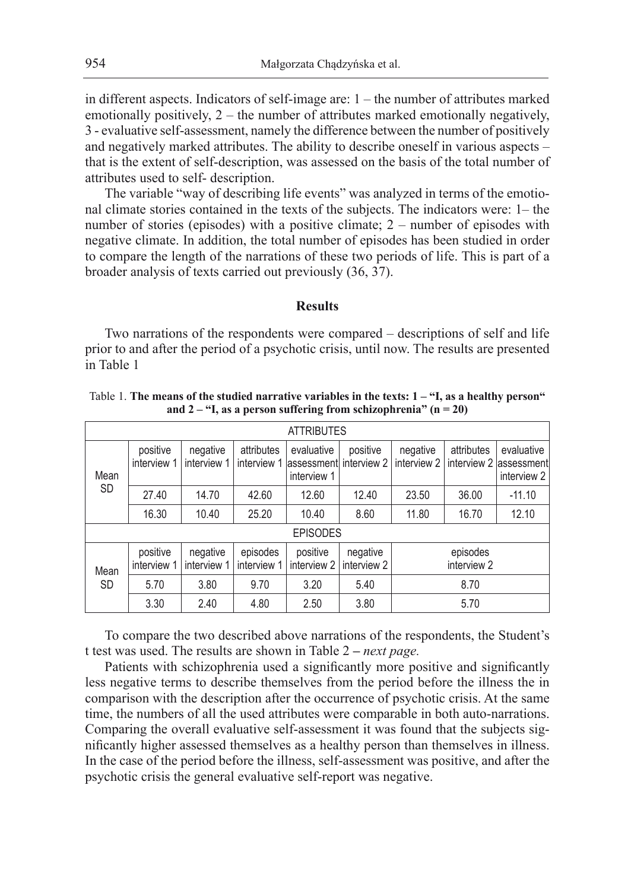in different aspects. Indicators of self-image are: 1 – the number of attributes marked emotionally positively, 2 – the number of attributes marked emotionally negatively, 3 - evaluative self-assessment, namely the difference between the number of positively and negatively marked attributes. The ability to describe oneself in various aspects – that is the extent of self-description, was assessed on the basis of the total number of attributes used to self- description.

The variable "way of describing life events" was analyzed in terms of the emotional climate stories contained in the texts of the subjects. The indicators were: 1– the number of stories (episodes) with a positive climate; 2 – number of episodes with negative climate. In addition, the total number of episodes has been studied in order to compare the length of the narrations of these two periods of life. This is part of a broader analysis of texts carried out previously (36, 37).

#### **Results**

Two narrations of the respondents were compared – descriptions of self and life prior to and after the period of a psychotic crisis, until now. The results are presented in Table 1

| <b>ATTRIBUTES</b> |                         |                         |                           |                                                      |                         |                         |                           |                                          |  |  |  |  |
|-------------------|-------------------------|-------------------------|---------------------------|------------------------------------------------------|-------------------------|-------------------------|---------------------------|------------------------------------------|--|--|--|--|
| Mean<br><b>SD</b> | positive<br>interview 1 | negative<br>interview 1 | attributes<br>interview 1 | evaluative<br>lassessment interview 2<br>interview 1 | positive                | negative<br>interview 2 | attributes<br>interview 2 | evaluative<br>lassessment<br>interview 2 |  |  |  |  |
|                   | 27.40                   | 14.70                   | 42.60                     | 12.60                                                | 12.40                   | 23.50                   | 36.00                     | $-11.10$                                 |  |  |  |  |
|                   | 16.30                   | 10.40                   | 25.20                     | 10.40                                                | 8.60                    | 11.80                   | 16.70                     | 12.10                                    |  |  |  |  |
| <b>EPISODES</b>   |                         |                         |                           |                                                      |                         |                         |                           |                                          |  |  |  |  |
| Mean<br><b>SD</b> | positive<br>interview 1 | negative<br>interview 1 | episodes<br>interview 1   | positive<br>interview 2                              | negative<br>interview 2 | episodes<br>interview 2 |                           |                                          |  |  |  |  |
|                   | 5.70                    | 3.80                    | 9.70                      | 3.20                                                 | 5.40                    | 8.70                    |                           |                                          |  |  |  |  |
|                   | 3.30                    | 2.40                    | 4.80                      | 2.50                                                 | 3.80                    | 5.70                    |                           |                                          |  |  |  |  |

Table 1. **The means of the studied narrative variables in the texts: 1 – "I, as a healthy person" and 2 – "I, as a person suffering from schizophrenia" (n = 20)**

To compare the two described above narrations of the respondents, the Student's t test was used. The results are shown in Table 2 **–** *next page.*

Patients with schizophrenia used a significantly more positive and significantly less negative terms to describe themselves from the period before the illness the in comparison with the description after the occurrence of psychotic crisis. At the same time, the numbers of all the used attributes were comparable in both auto-narrations. Comparing the overall evaluative self-assessment it was found that the subjects significantly higher assessed themselves as a healthy person than themselves in illness. In the case of the period before the illness, self-assessment was positive, and after the psychotic crisis the general evaluative self-report was negative.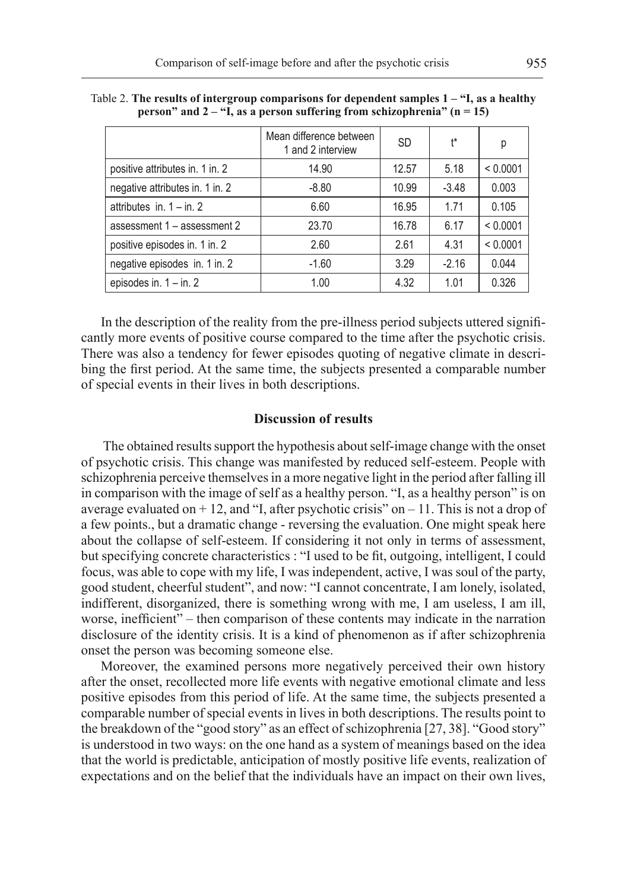|                                 | Mean difference between<br>1 and 2 interview | <b>SD</b> | ł*      | р        |
|---------------------------------|----------------------------------------------|-----------|---------|----------|
| positive attributes in. 1 in. 2 | 14.90                                        | 12.57     | 5.18    | < 0.0001 |
| negative attributes in. 1 in. 2 | $-8.80$                                      | 10.99     | $-3.48$ | 0.003    |
| attributes in. $1 - in. 2$      | 6.60                                         | 16.95     | 1.71    | 0.105    |
| assessment 1 - assessment 2     | 23.70                                        | 16.78     | 6.17    | < 0.0001 |
| positive episodes in. 1 in. 2   | 2.60                                         | 2.61      | 4.31    | < 0.0001 |
| negative episodes in 1 in 2     | $-1.60$                                      | 3.29      | $-2.16$ | 0.044    |
| episodes in. $1 - in. 2$        | 1.00                                         | 4.32      | 1.01    | 0.326    |

Table 2. **The results of intergroup comparisons for dependent samples 1 – "I, as a healthy person" and 2 – "I, as a person suffering from schizophrenia" (n = 15)**

In the description of the reality from the pre-illness period subjects uttered significantly more events of positive course compared to the time after the psychotic crisis. There was also a tendency for fewer episodes quoting of negative climate in describing the first period. At the same time, the subjects presented a comparable number of special events in their lives in both descriptions.

#### **Discussion of results**

 The obtained results support the hypothesis about self-image change with the onset of psychotic crisis. This change was manifested by reduced self-esteem. People with schizophrenia perceive themselves in a more negative light in the period after falling ill in comparison with the image of self as a healthy person. "I, as a healthy person" is on average evaluated on  $+ 12$ , and "I, after psychotic crisis" on  $- 11$ . This is not a drop of a few points., but a dramatic change - reversing the evaluation. One might speak here about the collapse of self-esteem. If considering it not only in terms of assessment, but specifying concrete characteristics : "I used to be fit, outgoing, intelligent, I could focus, was able to cope with my life, I was independent, active, I was soul of the party, good student, cheerful student", and now: "I cannot concentrate, I am lonely, isolated, indifferent, disorganized, there is something wrong with me, I am useless, I am ill, worse, inefficient" – then comparison of these contents may indicate in the narration disclosure of the identity crisis. It is a kind of phenomenon as if after schizophrenia onset the person was becoming someone else.

Moreover, the examined persons more negatively perceived their own history after the onset, recollected more life events with negative emotional climate and less positive episodes from this period of life. At the same time, the subjects presented a comparable number of special events in lives in both descriptions. The results point to the breakdown of the "good story" as an effect of schizophrenia [27, 38]. "Good story" is understood in two ways: on the one hand as a system of meanings based on the idea that the world is predictable, anticipation of mostly positive life events, realization of expectations and on the belief that the individuals have an impact on their own lives,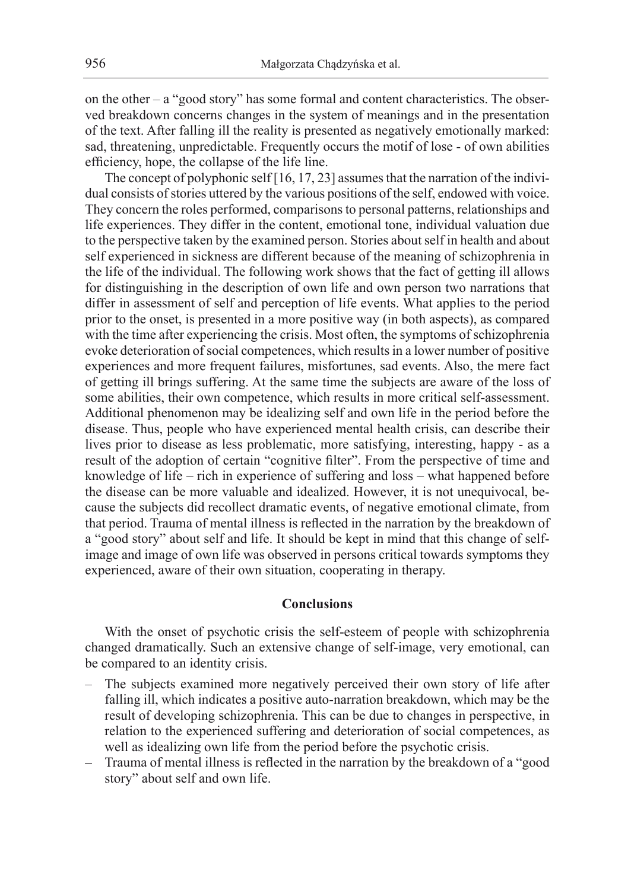on the other  $-$  a "good story" has some formal and content characteristics. The observed breakdown concerns changes in the system of meanings and in the presentation of the text. After falling ill the reality is presented as negatively emotionally marked: sad, threatening, unpredictable. Frequently occurs the motif of lose - of own abilities efficiency, hope, the collapse of the life line.

The concept of polyphonic self [16, 17, 23] assumes that the narration of the individual consists of stories uttered by the various positions of the self, endowed with voice. They concern the roles performed, comparisons to personal patterns, relationships and life experiences. They differ in the content, emotional tone, individual valuation due to the perspective taken by the examined person. Stories about self in health and about self experienced in sickness are different because of the meaning of schizophrenia in the life of the individual. The following work shows that the fact of getting ill allows for distinguishing in the description of own life and own person two narrations that differ in assessment of self and perception of life events. What applies to the period prior to the onset, is presented in a more positive way (in both aspects), as compared with the time after experiencing the crisis. Most often, the symptoms of schizophrenia evoke deterioration of social competences, which results in a lower number of positive experiences and more frequent failures, misfortunes, sad events. Also, the mere fact of getting ill brings suffering. At the same time the subjects are aware of the loss of some abilities, their own competence, which results in more critical self-assessment. Additional phenomenon may be idealizing self and own life in the period before the disease. Thus, people who have experienced mental health crisis, can describe their lives prior to disease as less problematic, more satisfying, interesting, happy - as a result of the adoption of certain "cognitive filter". From the perspective of time and knowledge of life – rich in experience of suffering and loss – what happened before the disease can be more valuable and idealized. However, it is not unequivocal, because the subjects did recollect dramatic events, of negative emotional climate, from that period. Trauma of mental illness is reflected in the narration by the breakdown of a "good story" about self and life. It should be kept in mind that this change of selfimage and image of own life was observed in persons critical towards symptoms they experienced, aware of their own situation, cooperating in therapy.

## **Conclusions**

With the onset of psychotic crisis the self-esteem of people with schizophrenia changed dramatically. Such an extensive change of self-image, very emotional, can be compared to an identity crisis.

- The subjects examined more negatively perceived their own story of life after falling ill, which indicates a positive auto-narration breakdown, which may be the result of developing schizophrenia. This can be due to changes in perspective, in relation to the experienced suffering and deterioration of social competences, as well as idealizing own life from the period before the psychotic crisis.
- Trauma of mental illness is reflected in the narration by the breakdown of a "good story" about self and own life.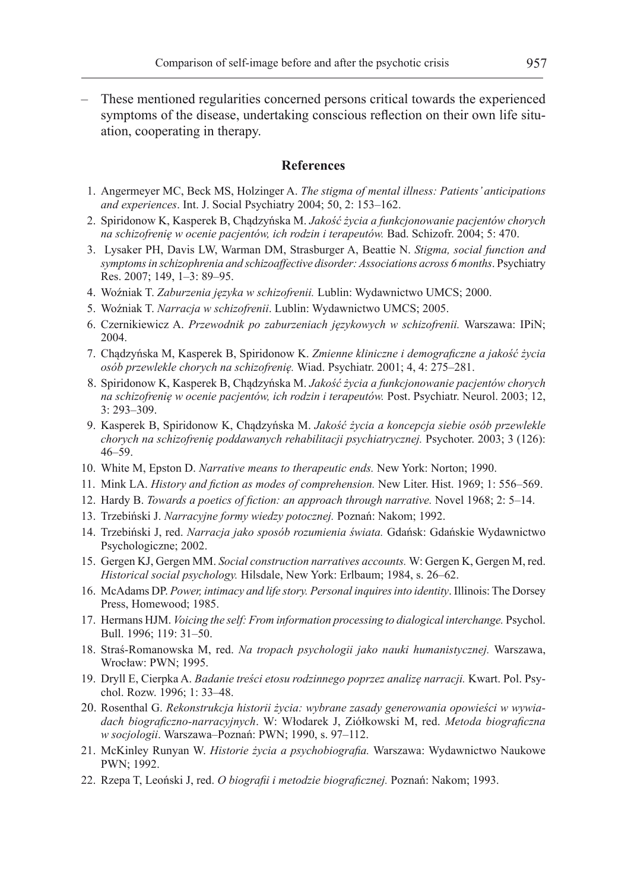– These mentioned regularities concerned persons critical towards the experienced symptoms of the disease, undertaking conscious reflection on their own life situation, cooperating in therapy.

## **References**

- 1. Angermeyer MC, Beck MS, Holzinger A. *The stigma of mental illness: Patients' anticipations and experiences*. Int. J. Social Psychiatry 2004; 50, 2: 153–162.
- 2. Spiridonow K, Kasperek B, Chądzyńska M. *Jakość życia a funkcjonowanie pacjentów chorych na schizofrenię w ocenie pacjentów, ich rodzin i terapeutów.* Bad. Schizofr. 2004; 5: 470.
- 3. Lysaker PH, Davis LW, Warman DM, Strasburger A, Beattie N. *Stigma, social function and symptoms in schizophrenia and schizoaffective disorder: Associations across 6 months*. Psychiatry Res. 2007; 149, 1–3: 89–95.
- 4. Woźniak T. *Zaburzenia języka w schizofrenii.* Lublin: Wydawnictwo UMCS; 2000.
- 5. Woźniak T. *Narracja w schizofrenii*. Lublin: Wydawnictwo UMCS; 2005.
- 6. Czernikiewicz A. *Przewodnik po zaburzeniach językowych w schizofrenii.* Warszawa: IPiN; 2004.
- 7. Chądzyńska M, Kasperek B, Spiridonow K. *Zmienne kliniczne i demograficzne a jakość życia osób przewlekle chorych na schizofrenię.* Wiad. Psychiatr. 2001; 4, 4: 275–281.
- 8. Spiridonow K, Kasperek B, Chądzyńska M. *Jakość życia a funkcjonowanie pacjentów chorych na schizofrenię w ocenie pacjentów, ich rodzin i terapeutów.* Post. Psychiatr. Neurol. 2003; 12, 3: 293–309.
- 9. Kasperek B, Spiridonow K, Chądzyńska M. *Jakość życia a koncepcja siebie osób przewlekle chorych na schizofrenię poddawanych rehabilitacji psychiatrycznej.* Psychoter. 2003; 3 (126): 46–59.
- 10. White M, Epston D. *Narrative means to therapeutic ends.* New York: Norton; 1990.
- 11. Mink LA. *History and fiction as modes of comprehension.* New Liter. Hist. 1969; 1: 556–569.
- 12. Hardy B. *Towards a poetics of fiction: an approach through narrative.* Novel 1968; 2: 5–14.
- 13. Trzebiński J. *Narracyjne formy wiedzy potocznej.* Poznań: Nakom; 1992.
- 14. Trzebiński J, red. *Narracja jako sposób rozumienia świata.* Gdańsk: Gdańskie Wydawnictwo Psychologiczne; 2002.
- 15. Gergen KJ, Gergen MM. *Social construction narratives accounts.* W: Gergen K, Gergen M, red. *Historical social psychology.* Hilsdale, New York: Erlbaum; 1984, s. 26–62.
- 16. McAdams DP. *Power, intimacy and life story. Personal inquires into identity*. Illinois: The Dorsey Press, Homewood; 1985.
- 17. Hermans HJM. *Voicing the self: From information processing to dialogical interchange.* Psychol. Bull. 1996; 119: 31–50.
- 18. Straś-Romanowska M, red. *Na tropach psychologii jako nauki humanistycznej.* Warszawa, Wrocław: PWN; 1995.
- 19. Dryll E, Cierpka A. *Badanie treści etosu rodzinnego poprzez analizę narracji.* Kwart. Pol. Psychol. Rozw. 1996; 1: 33–48.
- 20. Rosenthal G. *Rekonstrukcja historii życia: wybrane zasady generowania opowieści w wywiadach biograficzno-narracyjnych*. W: Włodarek J, Ziółkowski M, red. *Metoda biograficzna w socjologii*. Warszawa–Poznań: PWN; 1990, s. 97–112.
- 21. McKinley Runyan W. *Historie życia a psychobiografia.* Warszawa: Wydawnictwo Naukowe PWN; 1992.
- 22. Rzepa T, Leoński J, red. *O biografii i metodzie biograficznej.* Poznań: Nakom; 1993.